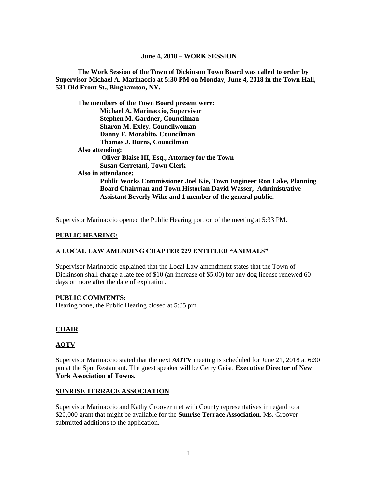## **June 4, 2018 – WORK SESSION**

**The Work Session of the Town of Dickinson Town Board was called to order by Supervisor Michael A. Marinaccio at 5:30 PM on Monday, June 4, 2018 in the Town Hall, 531 Old Front St., Binghamton, NY.**

**The members of the Town Board present were: Michael A. Marinaccio, Supervisor Stephen M. Gardner, Councilman Sharon M. Exley, Councilwoman Danny F. Morabito, Councilman Thomas J. Burns, Councilman Also attending: Oliver Blaise III, Esq., Attorney for the Town Susan Cerretani, Town Clerk Also in attendance: Public Works Commissioner Joel Kie, Town Engineer Ron Lake, Planning Board Chairman and Town Historian David Wasser, Administrative Assistant Beverly Wike and 1 member of the general public.**

Supervisor Marinaccio opened the Public Hearing portion of the meeting at 5:33 PM.

### **PUBLIC HEARING:**

## **A LOCAL LAW AMENDING CHAPTER 229 ENTITLED "ANIMALS"**

Supervisor Marinaccio explained that the Local Law amendment states that the Town of Dickinson shall charge a late fee of \$10 (an increase of \$5.00) for any dog license renewed 60 days or more after the date of expiration.

## **PUBLIC COMMENTS:**

Hearing none, the Public Hearing closed at 5:35 pm.

#### **CHAIR**

#### **AOTV**

Supervisor Marinaccio stated that the next **AOTV** meeting is scheduled for June 21, 2018 at 6:30 pm at the Spot Restaurant. The guest speaker will be Gerry Geist, **Executive Director of New York Association of Towns.**

#### **SUNRISE TERRACE ASSOCIATION**

Supervisor Marinaccio and Kathy Groover met with County representatives in regard to a \$20,000 grant that might be available for the **Sunrise Terrace Association**. Ms. Groover submitted additions to the application.